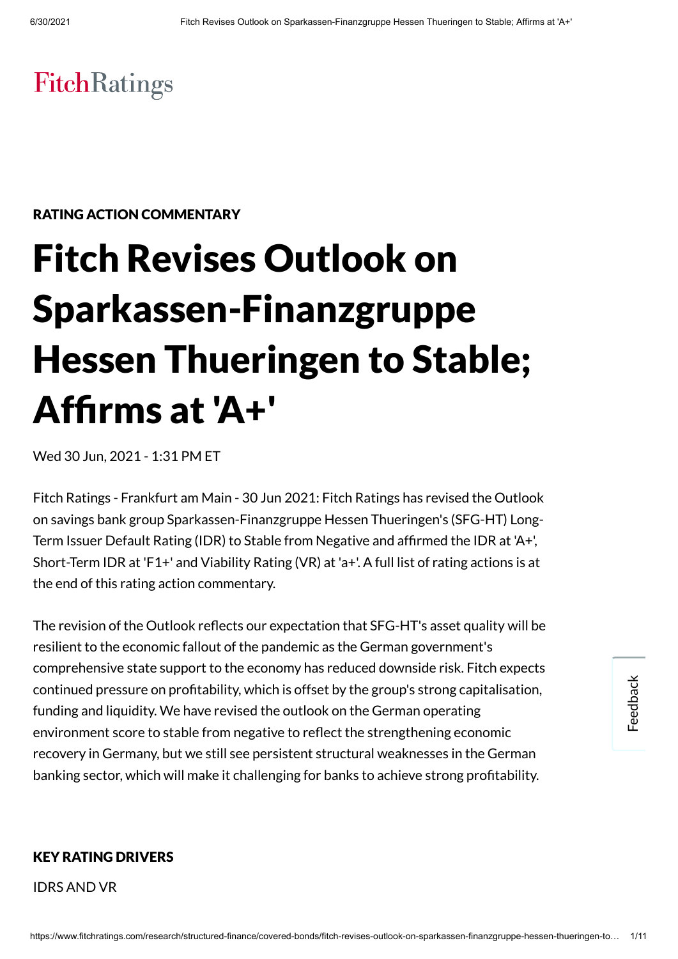# **FitchRatings**

# RATING ACTION COMMENTARY

# Fitch Revises Outlook on Sparkassen-Finanzgruppe Hessen Thueringen to Stable; Affirms at 'A+'

Wed 30 Jun, 2021 - 1:31 PM ET

Fitch Ratings - Frankfurt am Main - 30 Jun 2021: Fitch Ratings has revised the Outlook on savings bank group Sparkassen-Finanzgruppe Hessen Thueringen's (SFG-HT) Long-Term Issuer Default Rating (IDR) to Stable from Negative and affirmed the IDR at 'A+', Short-Term IDR at 'F1+' and Viability Rating (VR) at 'a+'. A full list of rating actions is at the end of this rating action commentary.

The revision of the Outlook reflects our expectation that SFG-HT's asset quality will be resilient to the economic fallout of the pandemic as the German government's comprehensive state support to the economy has reduced downside risk. Fitch expects continued pressure on profitability, which is offset by the group's strong capitalisation, funding and liquidity. We have revised the outlook on the German operating environment score to stable from negative to reflect the strengthening economic recovery in Germany, but we still see persistent structural weaknesses in the German banking sector, which will make it challenging for banks to achieve strong profitability.

#### KEY RATING DRIVERS

IDRS AND VR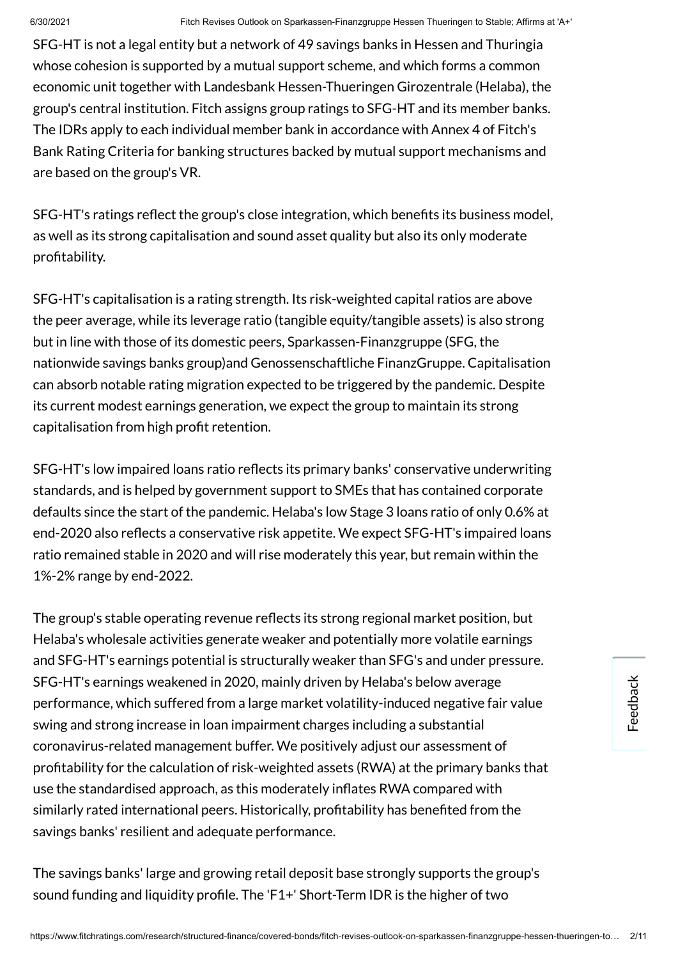SFG-HT is not a legal entity but a network of 49 savings banks in Hessen and Thuringia whose cohesion is supported by a mutual support scheme, and which forms a common economic unit together with Landesbank Hessen-Thueringen Girozentrale (Helaba), the group's central institution. Fitch assigns group ratings to SFG-HT and its member banks. The IDRs apply to each individual member bank in accordance with Annex 4 of Fitch's Bank Rating Criteria for banking structures backed by mutual support mechanisms and are based on the group's VR.

SFG-HT's ratings reflect the group's close integration, which benefits its business model, as well as its strong capitalisation and sound asset quality but also its only moderate profitability.

SFG-HT's capitalisation is a rating strength. Its risk-weighted capital ratios are above the peer average, while its leverage ratio (tangible equity/tangible assets) is also strong but in line with those of its domestic peers, Sparkassen-Finanzgruppe (SFG, the nationwide savings banks group)and Genossenschaftliche FinanzGruppe. Capitalisation can absorb notable rating migration expected to be triggered by the pandemic. Despite its current modest earnings generation, we expect the group to maintain its strong capitalisation from high profit retention.

SFG-HT's low impaired loans ratio reflects its primary banks' conservative underwriting standards, and is helped by government support to SMEs that has contained corporate defaults since the start of the pandemic. Helaba's low Stage 3 loans ratio of only 0.6% at end-2020 also reflects a conservative risk appetite. We expect SFG-HT's impaired loans ratio remained stable in 2020 and will rise moderately this year, but remain within the 1%-2% range by end-2022.

The group's stable operating revenue reflects its strong regional market position, but Helaba's wholesale activities generate weaker and potentially more volatile earnings and SFG-HT's earnings potential is structurally weaker than SFG's and under pressure. SFG-HT's earnings weakened in 2020, mainly driven by Helaba's below average performance, which suffered from a large market volatility-induced negative fair value swing and strong increase in loan impairment charges including a substantial coronavirus-related management buffer. We positively adjust our assessment of profitability for the calculation of risk-weighted assets (RWA) at the primary banks that use the standardised approach, as this moderately inflates RWA compared with similarly rated international peers. Historically, profitability has benefited from the savings banks' resilient and adequate performance.

The savings banks' large and growing retail deposit base strongly supports the group's sound funding and liquidity profile. The 'F1+' Short-Term IDR is the higher of two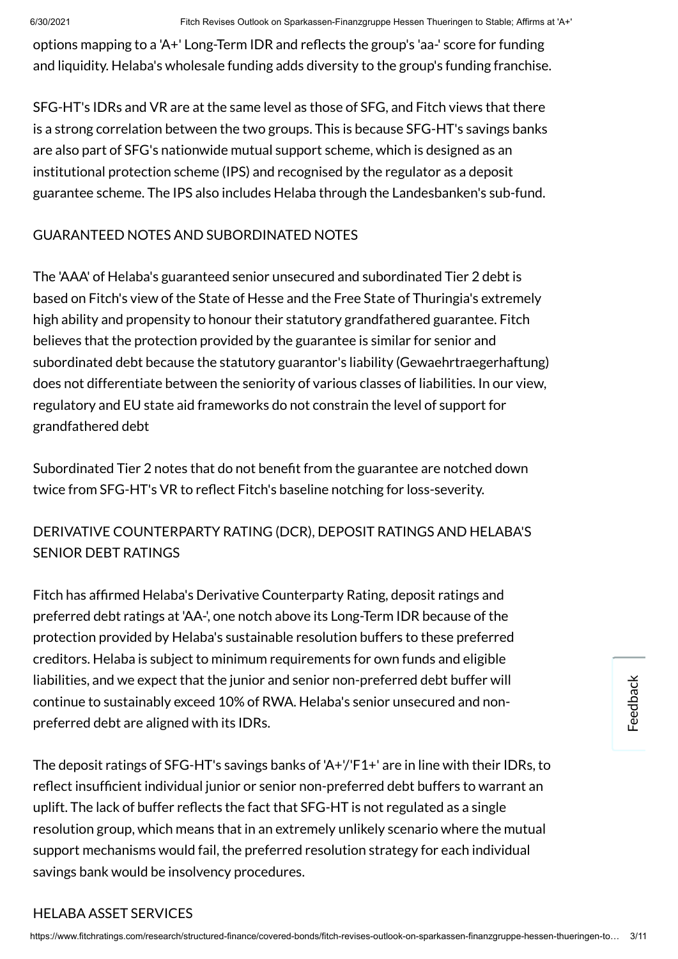options mapping to a 'A+' Long-Term IDR and reflects the group's 'aa-' score for funding and liquidity. Helaba's wholesale funding adds diversity to the group's funding franchise.

SFG-HT's IDRs and VR are at the same level as those of SFG, and Fitch views that there is a strong correlation between the two groups. This is because SFG-HT's savings banks are also part of SFG's nationwide mutual support scheme, which is designed as an institutional protection scheme (IPS) and recognised by the regulator as a deposit guarantee scheme. The IPS also includes Helaba through the Landesbanken's sub-fund.

#### GUARANTEED NOTES AND SUBORDINATED NOTES

The 'AAA' of Helaba's guaranteed senior unsecured and subordinated Tier 2 debt is based on Fitch's view of the State of Hesse and the Free State of Thuringia's extremely high ability and propensity to honour their statutory grandfathered guarantee. Fitch believes that the protection provided by the guarantee is similar for senior and subordinated debt because the statutory guarantor's liability (Gewaehrtraegerhaftung) does not differentiate between the seniority of various classes of liabilities. In our view, regulatory and EU state aid frameworks do not constrain the level of support for grandfathered debt

Subordinated Tier 2 notes that do not benefit from the guarantee are notched down twice from SFG-HT's VR to reflect Fitch's baseline notching for loss-severity.

# DERIVATIVE COUNTERPARTY RATING (DCR), DEPOSIT RATINGS AND HELABA'S SENIOR DEBT RATINGS

Fitch has affirmed Helaba's Derivative Counterparty Rating, deposit ratings and preferred debt ratings at 'AA-', one notch above its Long-Term IDR because of the protection provided by Helaba's sustainable resolution buffers to these preferred creditors. Helaba is subject to minimum requirements for own funds and eligible liabilities, and we expect that the junior and senior non-preferred debt buffer will continue to sustainably exceed 10% of RWA. Helaba's senior unsecured and nonpreferred debt are aligned with its IDRs.

The deposit ratings of SFG-HT's savings banks of 'A+'/'F1+' are in line with their IDRs, to reflect insufficient individual junior or senior non-preferred debt buffers to warrant an uplift. The lack of buffer reflects the fact that SFG-HT is not regulated as a single resolution group, which means that in an extremely unlikely scenario where the mutual support mechanisms would fail, the preferred resolution strategy for each individual savings bank would be insolvency procedures.

#### HELABA ASSET SERVICES

Feedback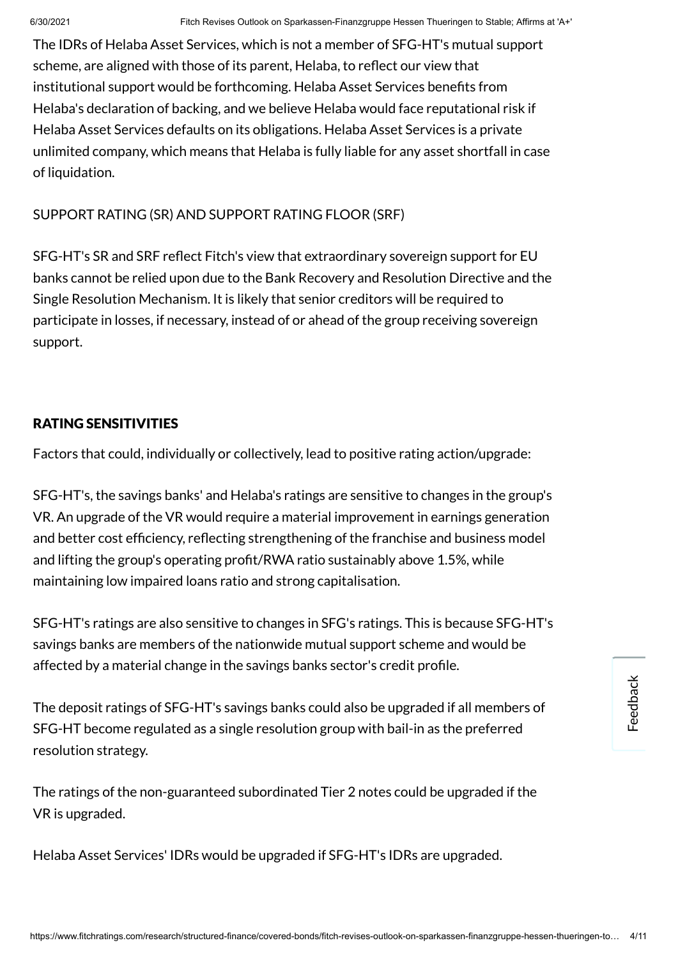The IDRs of Helaba Asset Services, which is not a member of SFG-HT's mutual support scheme, are aligned with those of its parent, Helaba, to reflect our view that institutional support would be forthcoming. Helaba Asset Services benefits from Helaba's declaration of backing, and we believe Helaba would face reputational risk if Helaba Asset Services defaults on its obligations. Helaba Asset Services is a private unlimited company, which means that Helaba is fully liable for any asset shortfall in case of liquidation.

#### SUPPORT RATING (SR) AND SUPPORT RATING FLOOR (SRF)

SFG-HT's SR and SRF reflect Fitch's view that extraordinary sovereign support for EU banks cannot be relied upon due to the Bank Recovery and Resolution Directive and the Single Resolution Mechanism. It is likely that senior creditors will be required to participate in losses, if necessary, instead of or ahead of the group receiving sovereign support.

#### RATING SENSITIVITIES

Factors that could, individually or collectively, lead to positive rating action/upgrade:

SFG-HT's, the savings banks' and Helaba's ratings are sensitive to changes in the group's VR. An upgrade of the VR would require a material improvement in earnings generation and better cost efficiency, reflecting strengthening of the franchise and business model and lifting the group's operating profit/RWA ratio sustainably above 1.5%, while maintaining low impaired loans ratio and strong capitalisation.

SFG-HT's ratings are also sensitive to changes in SFG's ratings. This is because SFG-HT's savings banks are members of the nationwide mutual support scheme and would be affected by a material change in the savings banks sector's credit profile.

The deposit ratings of SFG-HT's savings banks could also be upgraded if all members of SFG-HT become regulated as a single resolution group with bail-in as the preferred resolution strategy.

The ratings of the non-guaranteed subordinated Tier 2 notes could be upgraded if the VR is upgraded.

Helaba Asset Services' IDRs would be upgraded if SFG-HT's IDRs are upgraded.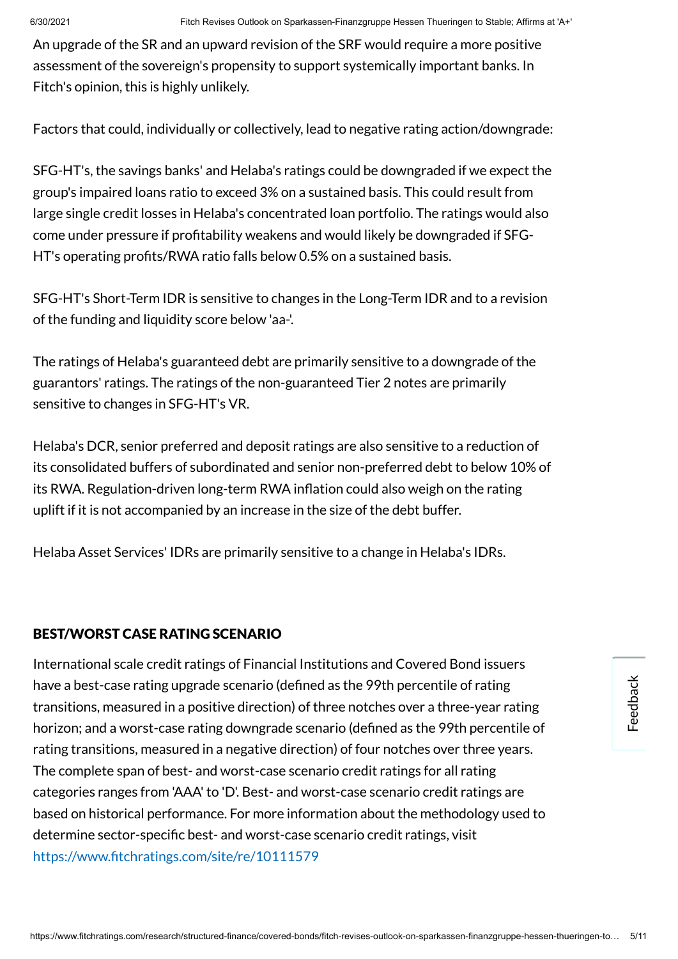An upgrade of the SR and an upward revision of the SRF would require a more positive assessment of the sovereign's propensity to support systemically important banks. In Fitch's opinion, this is highly unlikely.

Factors that could, individually or collectively, lead to negative rating action/downgrade:

SFG-HT's, the savings banks' and Helaba's ratings could be downgraded if we expect the group's impaired loans ratio to exceed 3% on a sustained basis. This could result from large single credit losses in Helaba's concentrated loan portfolio. The ratings would also come under pressure if profitability weakens and would likely be downgraded if SFG-HT's operating profits/RWA ratio falls below 0.5% on a sustained basis.

SFG-HT's Short-Term IDR is sensitive to changes in the Long-Term IDR and to a revision of the funding and liquidity score below 'aa-'.

The ratings of Helaba's guaranteed debt are primarily sensitive to a downgrade of the guarantors' ratings. The ratings of the non-guaranteed Tier 2 notes are primarily sensitive to changes in SFG-HT's VR.

Helaba's DCR, senior preferred and deposit ratings are also sensitive to a reduction of its consolidated buffers of subordinated and senior non-preferred debt to below 10% of its RWA. Regulation-driven long-term RWA inflation could also weigh on the rating uplift if it is not accompanied by an increase in the size of the debt buffer.

Helaba Asset Services' IDRs are primarily sensitive to a change in Helaba's IDRs.

#### BEST/WORST CASE RATING SCENARIO

International scale credit ratings of Financial Institutions and Covered Bond issuers have a best-case rating upgrade scenario (defined as the 99th percentile of rating transitions, measured in a positive direction) of three notches over a three-year rating horizon; and a worst-case rating downgrade scenario (defined as the 99th percentile of rating transitions, measured in a negative direction) of four notches over three years. The complete span of best- and worst-case scenario credit ratings for all rating categories ranges from 'AAA' to 'D'. Best- and worst-case scenario credit ratings are based on historical performance. For more information about the methodology used to determine sector-specific best- and worst-case scenario credit ratings, visit <https://www.fitchratings.com/site/re/10111579>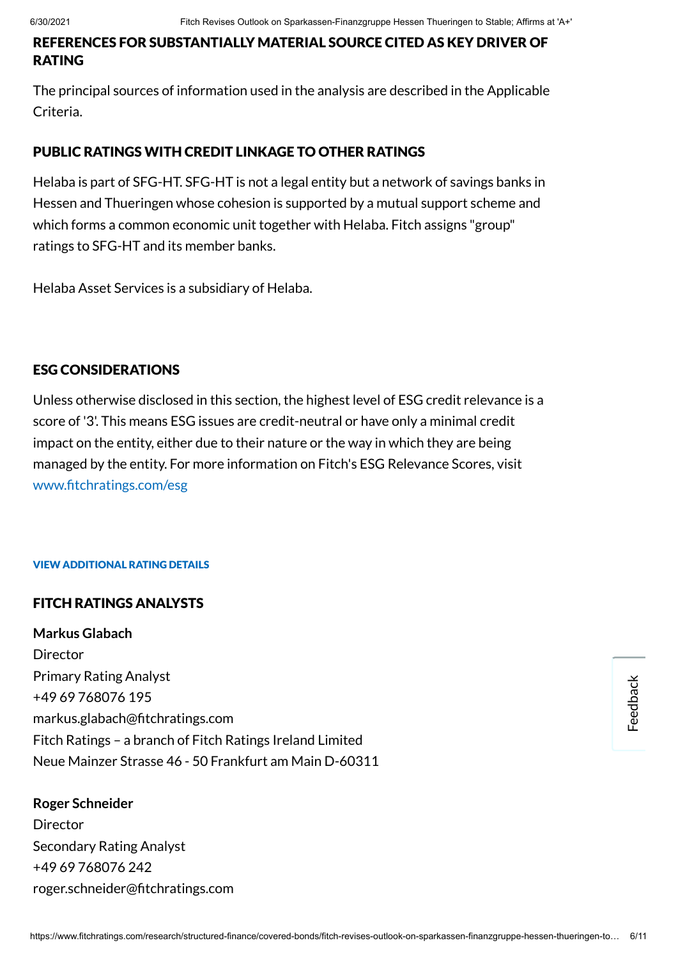# REFERENCES FOR SUBSTANTIALLY MATERIAL SOURCE CITED AS KEY DRIVER OF RATING

The principal sources of information used in the analysis are described in the Applicable Criteria.

#### PUBLIC RATINGS WITH CREDIT LINKAGE TO OTHER RATINGS

Helaba is part of SFG-HT. SFG-HT is not a legal entity but a network of savings banks in Hessen and Thueringen whose cohesion is supported by a mutual support scheme and which forms a common economic unit together with Helaba. Fitch assigns "group" ratings to SFG-HT and its member banks.

Helaba Asset Services is a subsidiary of Helaba.

#### ESG CONSIDERATIONS

Unless otherwise disclosed in this section, the highest level of ESG credit relevance is a score of '3'. This means ESG issues are credit-neutral or have only a minimal credit impact on the entity, either due to their nature or the way in which they are being managed by the entity. For more information on Fitch's ESG Relevance Scores, visit [www.fitchratings.com/esg](http://www.fitchratings.com/esg)

#### VIEW ADDITIONAL RATING DETAILS

#### FITCH RATINGS ANALYSTS

#### **Markus Glabach**

Director Primary Rating Analyst +49 69 768076 195 markus.glabach@fitchratings.com Fitch Ratings – a branch of Fitch Ratings Ireland Limited Neue Mainzer Strasse 46 - 50 Frankfurt am Main D-60311

#### **Roger Schneider**

Director Secondary Rating Analyst +49 69 768076 242 roger.schneider@fitchratings.com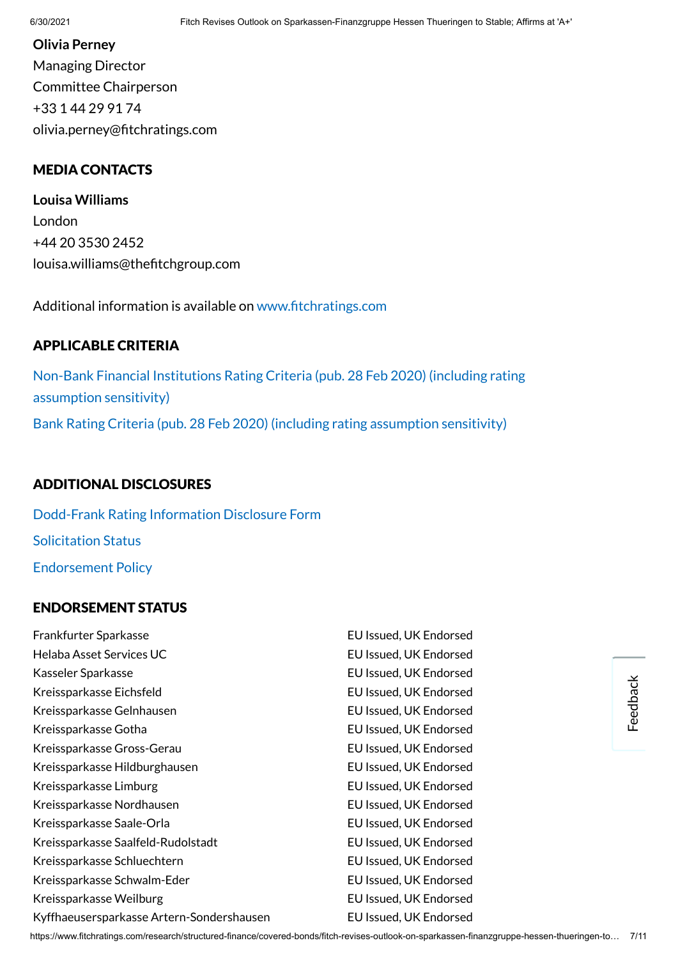**Olivia Perney** Managing Director Committee Chairperson +33 1 44 29 91 74 olivia.perney@fitchratings.com

#### MEDIA CONTACTS

**Louisa Williams** London +44 20 3530 2452 louisa.williams@thefitchgroup.com

Additional information is available on [www.fitchratings.com](http://www.fitchratings.com/)

#### APPLICABLE CRITERIA

Non-Bank Financial [Institutions](https://www.fitchratings.com/research/non-bank-financial-institutions/non-bank-financial-institutions-rating-criteria-28-02-2020) Rating Criteria (pub. 28 Feb 2020) (including rating assumption sensitivity)

Bank Rating Criteria (pub. 28 Feb 2020) (including rating [assumption](https://www.fitchratings.com/research/banks/bank-rating-criteria-28-02-2020) sensitivity)

# ADDITIONAL DISCLOSURES

[Dodd-Frank](https://www.fitchratings.com/research/structured-finance/covered-bonds/fitch-revises-outlook-on-sparkassen-finanzgruppe-hessen-thueringen-to-stable-affirms-at-a-30-06-2021/dodd-frank-disclosure) Rating Information Disclosure Form Solicitation Status [Endorsement](#page-9-0) Policy

# ENDORSEMENT STATUS

| Frankfurter Sparkasse                     | <b>EU Issued, UK Endorsed</b> |
|-------------------------------------------|-------------------------------|
| Helaba Asset Services UC                  | <b>EU Issued, UK Endorsed</b> |
| Kasseler Sparkasse                        | <b>EU Issued, UK Endorsed</b> |
| Kreissparkasse Eichsfeld                  | <b>EU Issued, UK Endorsed</b> |
| Kreissparkasse Gelnhausen                 | <b>EU Issued, UK Endorsed</b> |
| Kreissparkasse Gotha                      | EU Issued, UK Endorsed        |
| Kreissparkasse Gross-Gerau                | <b>EU Issued, UK Endorsed</b> |
| Kreissparkasse Hildburghausen             | <b>EU Issued, UK Endorsed</b> |
| Kreissparkasse Limburg                    | EU Issued, UK Endorsed        |
| Kreissparkasse Nordhausen                 | <b>EU Issued, UK Endorsed</b> |
| Kreissparkasse Saale-Orla                 | <b>EU Issued, UK Endorsed</b> |
| Kreissparkasse Saalfeld-Rudolstadt        | <b>EU Issued, UK Endorsed</b> |
| Kreissparkasse Schluechtern               | <b>EU Issued, UK Endorsed</b> |
| Kreissparkasse Schwalm-Eder               | <b>EU Issued, UK Endorsed</b> |
| Kreissparkasse Weilburg                   | <b>EU Issued, UK Endorsed</b> |
| Kyffhaeusersparkasse Artern-Sondershausen | <b>EU Issued, UK Endorsed</b> |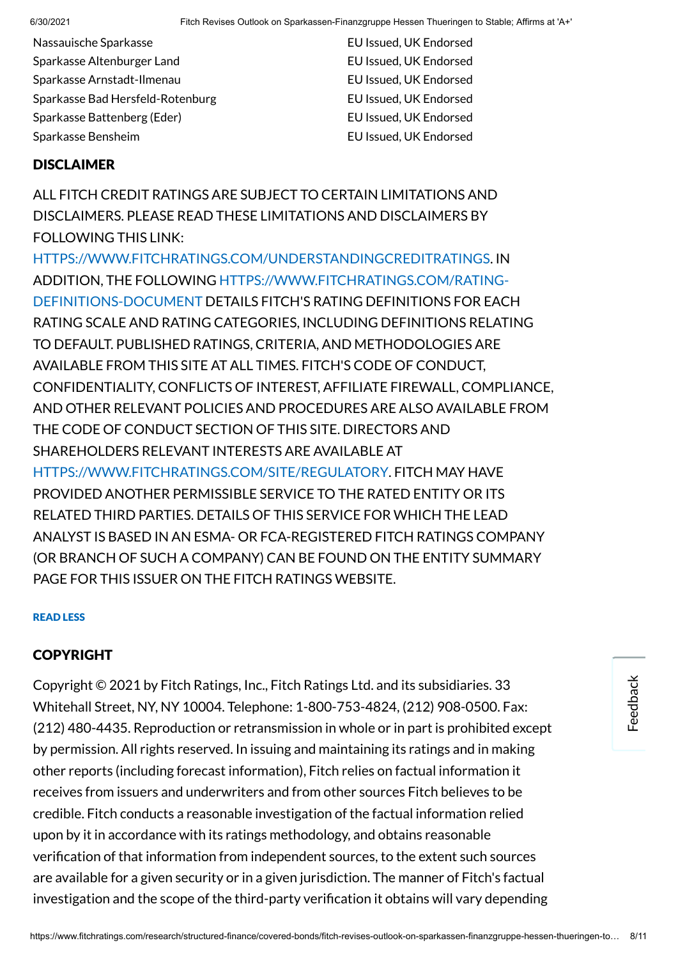Nassauische Sparkasse EU Issued, UK Endorsed Sparkasse Altenburger Land EU Issued, UK Endorsed Sparkasse Arnstadt-Ilmenau EU Issued, UK Endorsed Sparkasse Bad Hersfeld-Rotenburg Function Control EU Issued, UK Endorsed Sparkasse Battenberg (Eder) EU Issued, UK Endorsed Sparkasse Bensheim EU Issued, UK Endorsed

# DISCLAIMER

ALL FITCH CREDIT RATINGS ARE SUBJECT TO CERTAIN LIMITATIONS AND DISCLAIMERS. PLEASE READ THESE LIMITATIONS AND DISCLAIMERS BY FOLLOWING THIS LINK:

[HTTPS://WWW.FITCHRATINGS.COM/UNDERSTANDINGCREDITRATINGS](https://www.fitchratings.com/UNDERSTANDINGCREDITRATINGS). IN ADDITION, THE FOLLOWING [HTTPS://WWW.FITCHRATINGS.COM/RATING-](https://www.fitchratings.com/rating-definitions-document)DEFINITIONS-DOCUMENT DETAILS FITCH'S RATING DEFINITIONS FOR EACH RATING SCALE AND RATING CATEGORIES, INCLUDING DEFINITIONS RELATING TO DEFAULT. PUBLISHED RATINGS, CRITERIA, AND METHODOLOGIES ARE AVAILABLE FROM THIS SITE AT ALL TIMES. FITCH'S CODE OF CONDUCT, CONFIDENTIALITY, CONFLICTS OF INTEREST, AFFILIATE FIREWALL, COMPLIANCE, AND OTHER RELEVANT POLICIES AND PROCEDURES ARE ALSO AVAILABLE FROM THE CODE OF CONDUCT SECTION OF THIS SITE. DIRECTORS AND SHAREHOLDERS RELEVANT INTERESTS ARE AVAILABLE AT [HTTPS://WWW.FITCHRATINGS.COM/SITE/REGULATORY](https://www.fitchratings.com/site/regulatory). FITCH MAY HAVE PROVIDED ANOTHER PERMISSIBLE SERVICE TO THE RATED ENTITY OR ITS RELATED THIRD PARTIES. DETAILS OF THIS SERVICE FOR WHICH THE LEAD ANALYST IS BASED IN AN ESMA- OR FCA-REGISTERED FITCH RATINGS COMPANY (OR BRANCH OF SUCH A COMPANY) CAN BE FOUND ON THE ENTITY SUMMARY PAGE FOR THIS ISSUER ON THE FITCH RATINGS WEBSITE.

#### READ LESS

# **COPYRIGHT**

Copyright © 2021 by Fitch Ratings, Inc., Fitch Ratings Ltd. and its subsidiaries. 33 Whitehall Street, NY, NY 10004. Telephone: 1-800-753-4824, (212) 908-0500. Fax: (212) 480-4435. Reproduction or retransmission in whole or in part is prohibited except by permission. All rights reserved. In issuing and maintaining its ratings and in making other reports (including forecast information), Fitch relies on factual information it receives from issuers and underwriters and from other sources Fitch believes to be credible. Fitch conducts a reasonable investigation of the factual information relied upon by it in accordance with its ratings methodology, and obtains reasonable verification of that information from independent sources, to the extent such sources are available for a given security or in a given jurisdiction. The manner of Fitch's factual investigation and the scope of the third-party verification it obtains will vary depending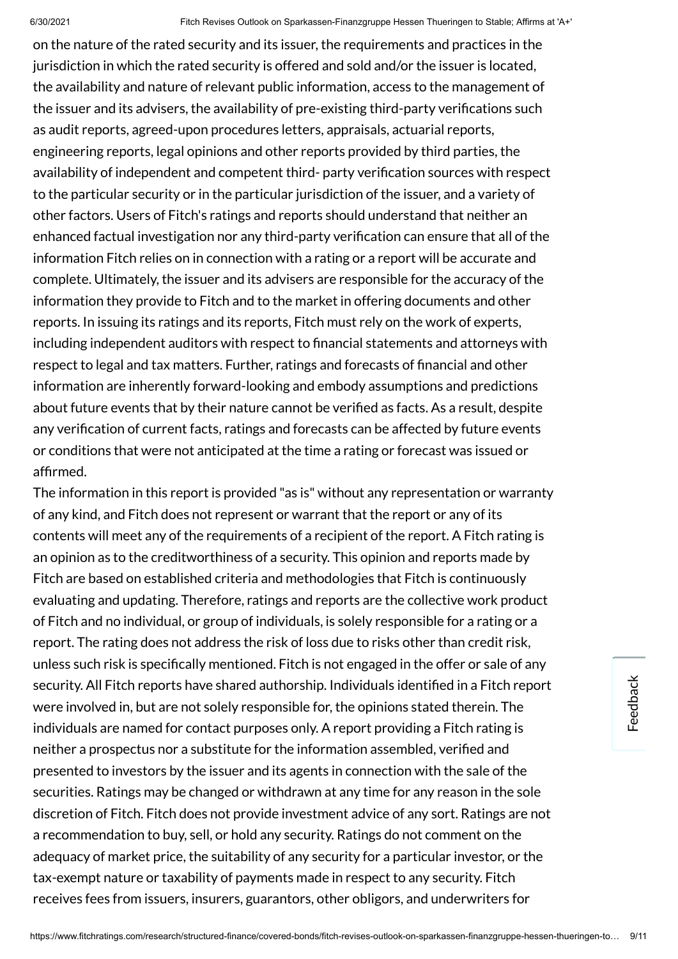on the nature of the rated security and its issuer, the requirements and practices in the jurisdiction in which the rated security is offered and sold and/or the issuer is located, the availability and nature of relevant public information, access to the management of the issuer and its advisers, the availability of pre-existing third-party verifications such as audit reports, agreed-upon procedures letters, appraisals, actuarial reports, engineering reports, legal opinions and other reports provided by third parties, the availability of independent and competent third- party verification sources with respect to the particular security or in the particular jurisdiction of the issuer, and a variety of other factors. Users of Fitch's ratings and reports should understand that neither an enhanced factual investigation nor any third-party verification can ensure that all of the information Fitch relies on in connection with a rating or a report will be accurate and complete. Ultimately, the issuer and its advisers are responsible for the accuracy of the information they provide to Fitch and to the market in offering documents and other reports. In issuing its ratings and its reports, Fitch must rely on the work of experts, including independent auditors with respect to financial statements and attorneys with respect to legal and tax matters. Further, ratings and forecasts of financial and other information are inherently forward-looking and embody assumptions and predictions about future events that by their nature cannot be verified as facts. As a result, despite any verification of current facts, ratings and forecasts can be affected by future events or conditions that were not anticipated at the time a rating or forecast was issued or affirmed.

The information in this report is provided "as is" without any representation or warranty of any kind, and Fitch does not represent or warrant that the report or any of its contents will meet any of the requirements of a recipient of the report. A Fitch rating is an opinion as to the creditworthiness of a security. This opinion and reports made by Fitch are based on established criteria and methodologies that Fitch is continuously evaluating and updating. Therefore, ratings and reports are the collective work product of Fitch and no individual, or group of individuals, is solely responsible for a rating or a report. The rating does not address the risk of loss due to risks other than credit risk, unless such risk is specifically mentioned. Fitch is not engaged in the offer or sale of any security. All Fitch reports have shared authorship. Individuals identified in a Fitch report were involved in, but are not solely responsible for, the opinions stated therein. The individuals are named for contact purposes only. A report providing a Fitch rating is neither a prospectus nor a substitute for the information assembled, verified and presented to investors by the issuer and its agents in connection with the sale of the securities. Ratings may be changed or withdrawn at any time for any reason in the sole discretion of Fitch. Fitch does not provide investment advice of any sort. Ratings are not a recommendation to buy, sell, or hold any security. Ratings do not comment on the adequacy of market price, the suitability of any security for a particular investor, or the tax-exempt nature or taxability of payments made in respect to any security. Fitch receives fees from issuers, insurers, guarantors, other obligors, and underwriters for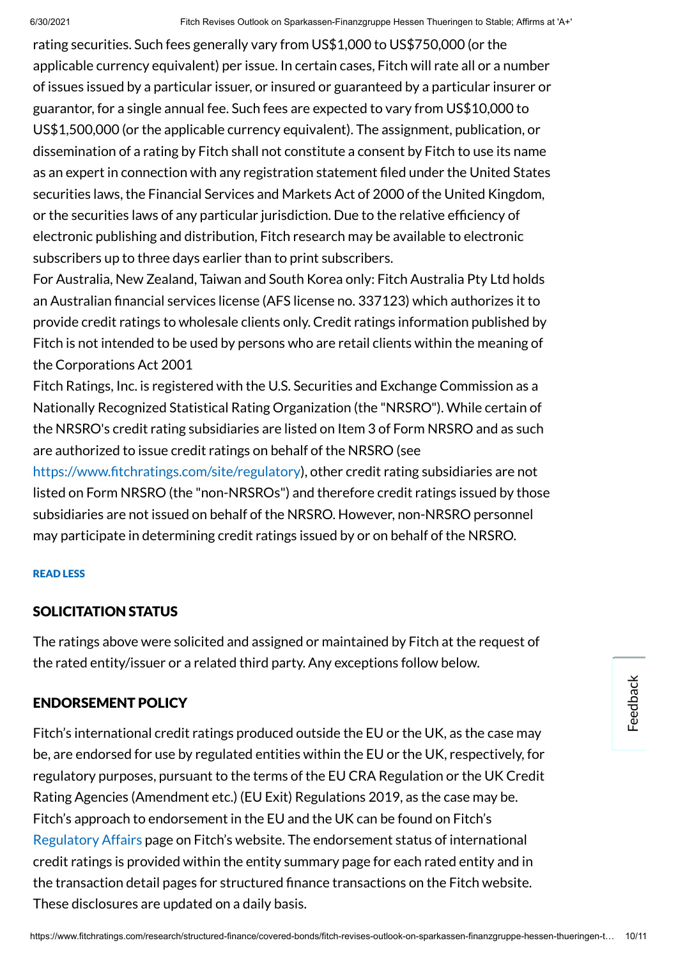rating securities. Such fees generally vary from US\$1,000 to US\$750,000 (or the applicable currency equivalent) per issue. In certain cases, Fitch will rate all or a number of issues issued by a particular issuer, or insured or guaranteed by a particular insurer or guarantor, for a single annual fee. Such fees are expected to vary from US\$10,000 to US\$1,500,000 (or the applicable currency equivalent). The assignment, publication, or dissemination of a rating by Fitch shall not constitute a consent by Fitch to use its name as an expert in connection with any registration statement filed under the United States securities laws, the Financial Services and Markets Act of 2000 of the United Kingdom, or the securities laws of any particular jurisdiction. Due to the relative efficiency of electronic publishing and distribution, Fitch research may be available to electronic subscribers up to three days earlier than to print subscribers.

For Australia, New Zealand, Taiwan and South Korea only: Fitch Australia Pty Ltd holds an Australian financial services license (AFS license no. 337123) which authorizes it to provide credit ratings to wholesale clients only. Credit ratings information published by Fitch is not intended to be used by persons who are retail clients within the meaning of the Corporations Act 2001

Fitch Ratings, Inc. is registered with the U.S. Securities and Exchange Commission as a Nationally Recognized Statistical Rating Organization (the "NRSRO"). While certain of the NRSRO's credit rating subsidiaries are listed on Item 3 of Form NRSRO and as such are authorized to issue credit ratings on behalf of the NRSRO (see

<https://www.fitchratings.com/site/regulatory>), other credit rating subsidiaries are not listed on Form NRSRO (the "non-NRSROs") and therefore credit ratings issued by those subsidiaries are not issued on behalf of the NRSRO. However, non-NRSRO personnel may participate in determining credit ratings issued by or on behalf of the NRSRO.

#### READ LESS

#### SOLICITATION STATUS

The ratings above were solicited and assigned or maintained by Fitch at the request of the rated entity/issuer or a related third party. Any exceptions follow below.

#### <span id="page-9-0"></span>ENDORSEMENT POLICY

Fitch's international credit ratings produced outside the EU or the UK, as the case may be, are endorsed for use by regulated entities within the EU or the UK, respectively, for regulatory purposes, pursuant to the terms of the EU CRA Regulation or the UK Credit Rating Agencies (Amendment etc.) (EU Exit) Regulations 2019, as the case may be. Fitch's approach to endorsement in the EU and the UK can be found on Fitch's [Regulatory](https://www.fitchratings.com/regulatory) Affairs page on Fitch's website. The endorsement status of international credit ratings is provided within the entity summary page for each rated entity and in the transaction detail pages for structured finance transactions on the Fitch website. These disclosures are updated on a daily basis.